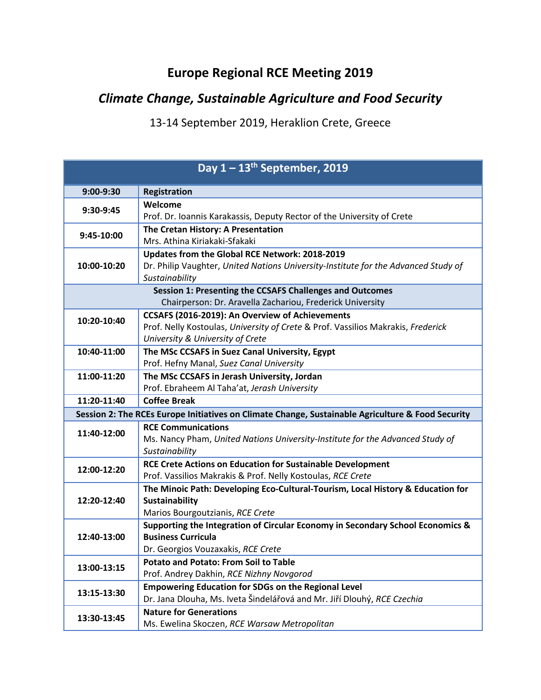## **Europe Regional RCE Meeting 2019**

## *Climate Change, Sustainable Agriculture and Food Security*

13-14 September 2019, Heraklion Crete, Greece

| Day $1 - 13$ <sup>th</sup> September, 2019                                                        |                                                                                                                           |  |
|---------------------------------------------------------------------------------------------------|---------------------------------------------------------------------------------------------------------------------------|--|
| 9:00-9:30                                                                                         | Registration                                                                                                              |  |
| 9:30-9:45                                                                                         | Welcome                                                                                                                   |  |
|                                                                                                   | Prof. Dr. Ioannis Karakassis, Deputy Rector of the University of Crete                                                    |  |
| 9:45-10:00                                                                                        | The Cretan History: A Presentation                                                                                        |  |
|                                                                                                   | Mrs. Athina Kiriakaki-Sfakaki                                                                                             |  |
| 10:00-10:20                                                                                       | Updates from the Global RCE Network: 2018-2019                                                                            |  |
|                                                                                                   | Dr. Philip Vaughter, United Nations University-Institute for the Advanced Study of<br>Sustainability                      |  |
| Session 1: Presenting the CCSAFS Challenges and Outcomes                                          |                                                                                                                           |  |
| Chairperson: Dr. Aravella Zachariou, Frederick University                                         |                                                                                                                           |  |
|                                                                                                   | CCSAFS (2016-2019): An Overview of Achievements                                                                           |  |
| 10:20-10:40                                                                                       | Prof. Nelly Kostoulas, University of Crete & Prof. Vassilios Makrakis, Frederick                                          |  |
|                                                                                                   | University & University of Crete                                                                                          |  |
| 10:40-11:00                                                                                       | The MSc CCSAFS in Suez Canal University, Egypt                                                                            |  |
|                                                                                                   | Prof. Hefny Manal, Suez Canal University                                                                                  |  |
| 11:00-11:20                                                                                       | The MSc CCSAFS in Jerash University, Jordan                                                                               |  |
|                                                                                                   | Prof. Ebraheem Al Taha'at, Jerash University                                                                              |  |
| 11:20-11:40                                                                                       | <b>Coffee Break</b>                                                                                                       |  |
| Session 2: The RCEs Europe Initiatives on Climate Change, Sustainable Agriculture & Food Security |                                                                                                                           |  |
| 11:40-12:00                                                                                       | <b>RCE Communications</b>                                                                                                 |  |
|                                                                                                   | Ms. Nancy Pham, United Nations University-Institute for the Advanced Study of                                             |  |
|                                                                                                   | Sustainability                                                                                                            |  |
| 12:00-12:20                                                                                       | RCE Crete Actions on Education for Sustainable Development<br>Prof. Vassilios Makrakis & Prof. Nelly Kostoulas, RCE Crete |  |
|                                                                                                   | The Minoic Path: Developing Eco-Cultural-Tourism, Local History & Education for                                           |  |
| 12:20-12:40                                                                                       | <b>Sustainability</b>                                                                                                     |  |
|                                                                                                   | Marios Bourgoutzianis, RCE Crete                                                                                          |  |
|                                                                                                   | Supporting the Integration of Circular Economy in Secondary School Economics &                                            |  |
| 12:40-13:00                                                                                       | <b>Business Curricula</b>                                                                                                 |  |
|                                                                                                   | Dr. Georgios Vouzaxakis, RCE Crete                                                                                        |  |
| 13:00-13:15                                                                                       | <b>Potato and Potato: From Soil to Table</b>                                                                              |  |
|                                                                                                   | Prof. Andrey Dakhin, RCE Nizhny Novgorod                                                                                  |  |
| 13:15-13:30                                                                                       | <b>Empowering Education for SDGs on the Regional Level</b>                                                                |  |
|                                                                                                   | Dr. Jana Dlouha, Ms. Iveta Šindelářová and Mr. Jiří Dlouhý, RCE Czechia                                                   |  |
| 13:30-13:45                                                                                       | <b>Nature for Generations</b>                                                                                             |  |
|                                                                                                   | Ms. Ewelina Skoczen, RCE Warsaw Metropolitan                                                                              |  |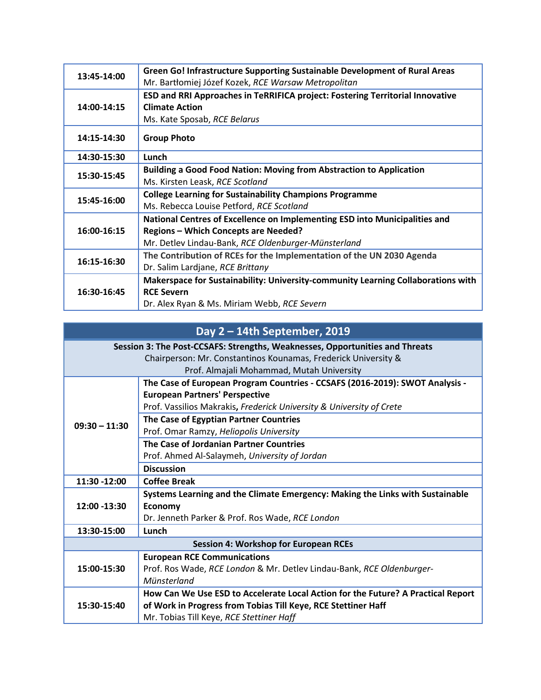| 13:45-14:00 | Green Go! Infrastructure Supporting Sustainable Development of Rural Areas<br>Mr. Bartłomiej Józef Kozek, RCE Warsaw Metropolitan |
|-------------|-----------------------------------------------------------------------------------------------------------------------------------|
| 14:00-14:15 | ESD and RRI Approaches in TeRRIFICA project: Fostering Territorial Innovative                                                     |
|             | <b>Climate Action</b>                                                                                                             |
|             | Ms. Kate Sposab, RCE Belarus                                                                                                      |
| 14:15-14:30 | <b>Group Photo</b>                                                                                                                |
| 14:30-15:30 | Lunch                                                                                                                             |
| 15:30-15:45 | <b>Building a Good Food Nation: Moving from Abstraction to Application</b>                                                        |
|             | Ms. Kirsten Leask, RCE Scotland                                                                                                   |
| 15:45-16:00 | <b>College Learning for Sustainability Champions Programme</b>                                                                    |
|             | Ms. Rebecca Louise Petford, RCE Scotland                                                                                          |
| 16:00-16:15 | National Centres of Excellence on Implementing ESD into Municipalities and                                                        |
|             | <b>Regions - Which Concepts are Needed?</b>                                                                                       |
|             | Mr. Detlev Lindau-Bank, RCE Oldenburger-Münsterland                                                                               |
| 16:15-16:30 | The Contribution of RCEs for the Implementation of the UN 2030 Agenda                                                             |
|             | Dr. Salim Lardjane, RCE Brittany                                                                                                  |
| 16:30-16:45 | Makerspace for Sustainability: University-community Learning Collaborations with                                                  |
|             | <b>RCE Severn</b>                                                                                                                 |
|             | Dr. Alex Ryan & Ms. Miriam Webb, RCE Severn                                                                                       |

## **Day 2 – 14th September, 2019**

| Session 3: The Post-CCSAFS: Strengths, Weaknesses, Opportunities and Threats |                                                                                  |  |
|------------------------------------------------------------------------------|----------------------------------------------------------------------------------|--|
| Chairperson: Mr. Constantinos Kounamas, Frederick University &               |                                                                                  |  |
| Prof. Almajali Mohammad, Mutah University                                    |                                                                                  |  |
| $09:30 - 11:30$                                                              | The Case of European Program Countries - CCSAFS (2016-2019): SWOT Analysis -     |  |
|                                                                              | <b>European Partners' Perspective</b>                                            |  |
|                                                                              | Prof. Vassilios Makrakis, Frederick University & University of Crete             |  |
|                                                                              | The Case of Egyptian Partner Countries                                           |  |
|                                                                              | Prof. Omar Ramzy, Heliopolis University                                          |  |
|                                                                              | The Case of Jordanian Partner Countries                                          |  |
|                                                                              | Prof. Ahmed Al-Salaymeh, University of Jordan                                    |  |
|                                                                              | <b>Discussion</b>                                                                |  |
| 11:30 -12:00                                                                 | <b>Coffee Break</b>                                                              |  |
|                                                                              | Systems Learning and the Climate Emergency: Making the Links with Sustainable    |  |
| 12:00 -13:30                                                                 | <b>Economy</b>                                                                   |  |
|                                                                              | Dr. Jenneth Parker & Prof. Ros Wade, RCE London                                  |  |
| 13:30-15:00                                                                  | Lunch                                                                            |  |
| <b>Session 4: Workshop for European RCEs</b>                                 |                                                                                  |  |
|                                                                              | <b>European RCE Communications</b>                                               |  |
| 15:00-15:30                                                                  | Prof. Ros Wade, RCE London & Mr. Detlev Lindau-Bank, RCE Oldenburger-            |  |
|                                                                              | Münsterland                                                                      |  |
|                                                                              | How Can We Use ESD to Accelerate Local Action for the Future? A Practical Report |  |
| 15:30-15:40                                                                  | of Work in Progress from Tobias Till Keye, RCE Stettiner Haff                    |  |
|                                                                              | Mr. Tobias Till Keye, RCE Stettiner Haff                                         |  |